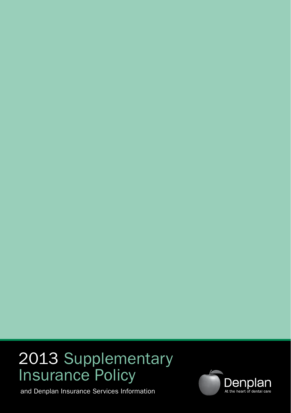# 2013 Supplementary Insurance Policy

and Denplan Insurance Services Information

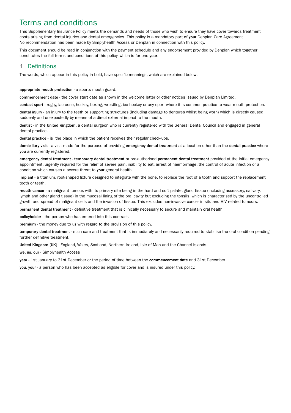# Terms and conditions

This Supplementary Insurance Policy meets the demands and needs of those who wish to ensure they have cover towards treatment costs arising from dental injuries and dental emergencies. This policy is a mandatory part of your Denplan Care Agreement. No recommendation has been made by Simplyhealth Access or Denplan in connection with this policy.

This document should be read in conjunction with the payment schedule and any endorsement provided by Denplan which together constitutes the full terms and conditions of this policy, which is for one year.

# 1 Definitions

The words, which appear in this policy in bold, have specific meanings, which are explained below:

appropriate mouth protection - a sports mouth guard.

commencement date - the cover start date as shown in the welcome letter or other notices issued by Denplan Limited.

contact sport - rugby, lacrosse, hockey, boxing, wrestling, ice hockey or any sport where it is common practice to wear mouth protection.

dental injury - an injury to the teeth or supporting structures (including damage to dentures whilst being worn) which is directly caused suddenly and unexpectedly by means of a direct external impact to the mouth.

dentist - in the United Kingdom, a dental surgeon who is currently registered with the General Dental Council and engaged in general dental practice.

dental practice - is the place in which the patient receives their regular check-ups.

domiciliary visit - a visit made for the purpose of providing emergency dental treatment at a location other than the dental practice where you are currently registered.

emergency dental treatment - temporary dental treatment or pre-authorised permanent dental treatment provided at the initial emergency appointment, urgently required for the relief of severe pain, inability to eat, arrest of haemorrhage, the control of acute infection or a condition which causes a severe threat to your general health.

implant - a titanium, root-shaped fixture designed to integrate with the bone, to replace the root of a tooth and support the replacement tooth or teeth.

mouth cancer - a malignant tumour, with its primary site being in the hard and soft palate, gland tissue (including accessory, salivary, lymph and other gland tissue) in the mucosal lining of the oral cavity but excluding the tonsils, which is characterised by the uncontrolled growth and spread of malignant cells and the invasion of tissue. This excludes non-invasive cancer in situ and HIV related tumours.

permanent dental treatment - definitive treatment that is clinically necessary to secure and maintain oral health.

policyholder - the person who has entered into this contract.

premium - the money due to us with regard to the provision of this policy.

temporary dental treatment - such care and treatment that is immediately and necessarily required to stabilise the oral condition pending further definitive treatment.

United Kingdom (UK) - England, Wales, Scotland, Northern Ireland, Isle of Man and the Channel Islands.

we, us, our - Simplyhealth Access

year - 1st January to 31st December or the period of time between the commencement date and 31st December.

you, your - a person who has been accepted as eligible for cover and is insured under this policy.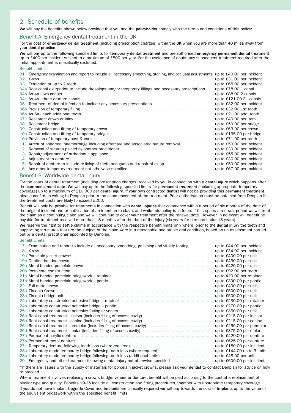# 2 Schedule of benefits

We will pay the benefits shown below provided that you and the policyholder comply with the terms and conditions of this policy:

#### Benefit A Emergency dental treatment in the UK

For the cost of emergency dental treatment (including prescription charges) within the UK when you are more than 40 miles away from your dental practice

We will pay up to the following specified limits for temporary dental treatment and pre-authorised emergency permanent dental treatment up to £400 per incident subject to a maximum of £800 per year. For the avoidance of doubt, any subsequent treatment required after the initial appointment is specifically excluded.

#### Benefit Limits

| 01 | Emergency examination and report to include all necessary smoothing, stoning, and occlusal adjustments up to £40.00 per incident                                                                                               |                           |
|----|--------------------------------------------------------------------------------------------------------------------------------------------------------------------------------------------------------------------------------|---------------------------|
| 02 | X-rays                                                                                                                                                                                                                         | up to £31.00 per incident |
| 03 | Extraction of up to 2 teeth manufactured contain the contract of the contract of the contract of the contract of the contract of the contract of the contract of the contract of the contract of the contract of the contract  | up to £65.00 per incident |
|    | 04a Root canal extirpation to include dressings and/or temporary fillings and necessary prescriptions                                                                                                                          | up to £78,00 1 canal      |
|    |                                                                                                                                                                                                                                | up to £88.00 2 canals     |
|    |                                                                                                                                                                                                                                | up to $£121.00$ 3+ canals |
|    |                                                                                                                                                                                                                                | up to £32.00 per incident |
|    |                                                                                                                                                                                                                                | up to £32.00 1st tooth    |
|    |                                                                                                                                                                                                                                | up to £21.00 add. tooth   |
| 07 | Recement crown or inlay manufactured and contact the control of the control of the control of the control of the control of the control of the control of the control of the control of the control of the control of the cont | up to £40.00 per item     |
| 08 |                                                                                                                                                                                                                                | up to £50.00 per bridge   |
| 09 |                                                                                                                                                                                                                                | up to £63.00 per crown    |
|    |                                                                                                                                                                                                                                | up to £135.00 per bridge  |
|    | 10b Provision of temporary post & core manufactured content to the content of temporary post & core                                                                                                                            | up to £71.00 per tooth    |
| 11 | Arrest of abnormal haemorrhage including aftercare and associated suture removal <i></i>                                                                                                                                       | up to £50.00 per incident |
| 12 |                                                                                                                                                                                                                                | up to £30.00 per incident |
| 13 | Repair/adjustment of orthodontic appliance manufactured contained and resonance of the Repair/adjustment of orthodontic appliance                                                                                              | up to £55.00 per incident |
| 14 |                                                                                                                                                                                                                                | up to £30.00 per incident |
| 15 | Repair of denture to include re-fixing of teeth and gums and repair of clasp                                                                                                                                                   | up to £50.00 per incident |
| 16 |                                                                                                                                                                                                                                | up to £67.00 per incident |

## Benefit B Worldwide dental injury

For the costs of dental treatment (including prescription charges) received by you in connection with a dental injury which happens after the commencement date. We will pay up to the following specified limits for permanent treatment (including appropriate temporary coverage) up to a maximum of £10,000 per dental injury. If your own contracted dentist will not be providing this permanent treatment. please confirm in writing to Denplan prior to the commencement of the treatment. Prior authorisation must be obtained from Denplan if the treatment costs are likely to exceed £200.

Benefit will only be payable for treatments in connection with dental injuries that commence within a period of six months of the date of the original incident and or notification of an intention to claim, and while this policy is in force. If this spans a renewal period we will treat the claim as a continuing claim and we will continue to cover your treatment after the renewal date. However, in no event will benefit be payable for treatment received more than 18 months after the date of the injury (six years for persons under 18 years).

We reserve the right to settle claims in accordance with the respective benefit limits only where, prior to the dental injury the teeth and supporting structures that are the subject of the claim were in a reasonable and stable oral condition, based on an assessment carried out by a dental practitioner appointed by Denplan.

#### Benefit Limits

| 17 Examination and report to include all necessary smoothing, polishing and vitality testing  up to £44.00 per incident                                                                                                        |                           |
|--------------------------------------------------------------------------------------------------------------------------------------------------------------------------------------------------------------------------------|---------------------------|
|                                                                                                                                                                                                                                |                           |
|                                                                                                                                                                                                                                |                           |
|                                                                                                                                                                                                                                |                           |
| 20a Metal bonded porcelain crown material communication control to the control of the f420.00 per unit                                                                                                                         |                           |
|                                                                                                                                                                                                                                |                           |
| 21a Metal bonded porcelain bridgework - retainer manufactured contain manufactured by the Metal bonded porcelain bridgework - retainer                                                                                         | up to 420.00 per retainer |
|                                                                                                                                                                                                                                |                           |
| 22 Full metal crown material communication of the contract of the contract of the contract results of the contract of the contract of the contract of the contract of the contract of the contract of the contract of the cont |                           |
| 23a Zirconia Crown material content and the content of the content of the content of the content of the content of the content of the content of the content of the content of the content of the content of the content of th |                           |
| 23b Zirconia bridge unit material content and content to the content of the content of the content of the content of the content of the content of the content of the content of the content of the content of the content of  |                           |
| 24a Laboratory constructed adhesive bridge – retainer manufactured manufactured control up to £230.00 per retainer                                                                                                             |                           |
| 24b Laboratory constructed adhesive bridge – pontic manufactured construction control up to £270.00 per pontic                                                                                                                 |                           |
| 25 Laboratory constructed adhesive facing or veneer manufactured contain and the manufactured up to £360.00 per unit                                                                                                           |                           |
|                                                                                                                                                                                                                                |                           |
|                                                                                                                                                                                                                                |                           |
|                                                                                                                                                                                                                                |                           |
|                                                                                                                                                                                                                                |                           |
|                                                                                                                                                                                                                                | up to £420.00 per denture |
|                                                                                                                                                                                                                                |                           |
|                                                                                                                                                                                                                                |                           |
|                                                                                                                                                                                                                                |                           |
|                                                                                                                                                                                                                                |                           |
|                                                                                                                                                                                                                                |                           |

\*If there are issues with the supply of materials for porcelain jacket crowns, please ask your dentist to contact Denplan for advice on how to proceed.

Where treatment involves replacing a crown, bridge, veneer or denture, benefit will be paid according to the cost of a replacement of similar type and quality. Benefits 19-25 include all construction and fitting procedures, together with appropriate temporary coverage. If you do not have Implant Upgrade Cover and implants are clinically required we will pay towards the cost of implants up to the value of the equivalent bridgework within the specified benefit limits.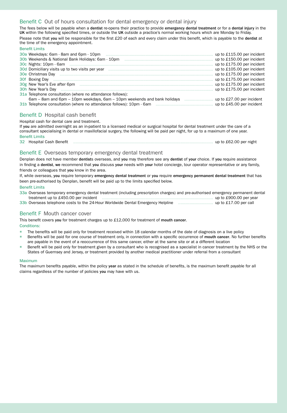# Benefit C Out of hours consultation for dental emergency or dental injury

The fees below will be payable when a dentist re-opens their practice to provide emergency dental treatment or for a dental injury in the UK within the following specified times, or outside the UK outside a practice's normal working hours which are Monday to Friday. Please note that you will be responsible for the first £20 of each and every claim under this benefit, which is payable to the dentist at the time of the emergency appointment.

|                                                                                                                | up to £115.00 per incident |
|----------------------------------------------------------------------------------------------------------------|----------------------------|
|                                                                                                                | up to £150.00 per incident |
|                                                                                                                | up to £175.00 per incident |
| 30d Domiciliary visits up to two visits per year manufactured contained and contained and the set of the set o | up to £105.00 per incident |
|                                                                                                                | up to £175.00 per incident |
|                                                                                                                | up to £175.00 per incident |
|                                                                                                                | up to £175.00 per incident |
|                                                                                                                | up to £175.00 per incident |
| 31a Telephone consultation (where no attendance follows):                                                      |                            |
| 6am – 8am and 6pm – 10pm weekdays, 6am – 10pm weekends and bank holidays                                       | up to £27.00 per incident  |
|                                                                                                                | up to £45.00 per incident  |
|                                                                                                                |                            |

# Benefit D Hospital cash benefit

Hospital cash for dental care and treatment.

If you are admitted overnight as an in-patient to a licensed medical or surgical hospital for dental treatment under the care of a consultant specialising in dental or maxillofacial surgery, the following will be paid per night, for up to a maximum of one year. Benefit Limits

32 Hospital Cash Benefit ................................................................................................................ up to £62.00 per night

# Benefit E Overseas temporary emergency dental treatment

Denplan does not have member dentists overseas, and you may therefore see any dentist of your choice. If you require assistance in finding a dentist, we recommend that you discuss your needs with your hotel concierge, tour operator representative or any family, friends or colleagues that you know in the area.

If, while overseas, you require temporary emergency dental treatment or you require emergency permanent dental treatment that has been pre-authorised by Denplan, benefit will be paid up to the limits specified below.

#### Benefit Limits

Benefit Limits

| 33a Overseas temporary emergency dental treatment (including prescription charges) and pre-authorised emergency permanent dental |                        |
|----------------------------------------------------------------------------------------------------------------------------------|------------------------|
| treatment up to £450,00 per incident                                                                                             | up to £900.00 per year |
| 33b Overseas telephone costs to the 24-Hour Worldwide Dental Emergency Helpline                                                  | up to £17,00 per call  |

#### Benefit F Mouth cancer cover

This benefit covers you for treatment charges up to £12,000 for treatment of mouth cancer. Conditions:

- The benefits will be paid only for treatment received within 18 calendar months of the date of diagnosis on a live policy
- Benefits will be paid for one course of treatment only, in connection with a specific occurrence of mouth cancer. No further benefits are payable in the event of a reoccurrence of this same cancer, either at the same site or at a different location
- Benefit will be paid only for treatment given by a consultant who is recognised as a specialist in cancer treatment by the NHS or the States of Guernsey and Jersey, or treatment provided by another medical practitioner under referral from a consultant

#### Maximum

The maximum benefits payable, within the policy year as stated in the schedule of benefits, is the maximum benefit payable for all claims regardless of the number of policies you may have with us.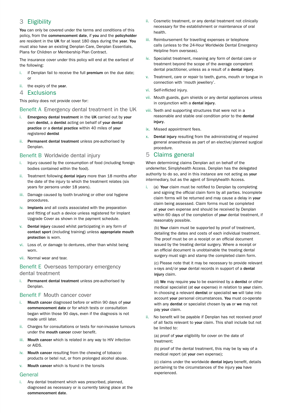# 3 Eligibility

You can only be covered under the terms and conditions of this policy, from the commencement date, if you and the policyholder are resident in the UK for at least 180 days during the year. You must also have an existing Denplan Care, Denplan Essentials, Plans for Children or Membership Plan Contract.

The insurance cover under this policy will end at the earliest of the following:

- i. if Denplan fail to receive the full premium on the due date; or
- ii. the expiry of the year.
- 4 Exclusions

This policy does not provide cover for:

# Benefit A Emergency dental treatment in the UK

- i. Emergency dental treatment in the UK carried out by your own dentist, a dentist acting on behalf of your dental practice or a dental practice within 40 miles of your registered dentist
- ii. Permanent dental treatment unless pre-authorised by Denplan.

#### Benefit B Worldwide dental injury

- i. Injury caused by the consumption of food (including foreign bodies contained within the food).
- ii. Treatment following dental injury more than 18 months after the date of the injury to which the treatment relates (six years for persons under 18 years).
- iii. Damage caused by tooth brushing or other oral hygiene procedures.
- iv. Implants and all costs associated with the preparation and fitting of such a device unless registered for Implant Upgrade Cover as shown in the payment schedule.
- v. Dental injury caused whilst participating in any form of contact sport (including training) unless appropriate mouth protection is worn.
- vi. Loss of, or damage to dentures, other than whilst being worn.
- vii. Normal wear and tear.

# Benefit E Overseas temporary emergency dental treatment

Permanent dental treatment unless pre-authorised by Denplan.

# Benefit F Mouth cancer cover

- i. Mouth cancer diagnosed before or within 90 days of your commencement date or for which tests or consultation began within those 90 days, even if the diagnosis is not made until later.
- ii. Charges for consultations or tests for non-invasive tumours under the mouth cancer cover benefit.
- iii. Mouth cancer which is related in any way to HIV infection or AIDS.
- iv. Mouth cancer resulting from the chewing of tobacco products or betel nut, or from prolonged alcohol abuse.
- v. Mouth cancer which is found in the tonsils

# General

i. Any dental treatment which was prescribed, planned, diagnosed as necessary or is currently taking place at the commencement date.

- ii. Cosmetic treatment, or any dental treatment not clinically necessary for the establishment or maintenance of oral health.
- iii. Reimbursement for travelling expenses or telephone calls (unless to the 24-Hour Worldwide Dental Emergency Helpline from overseas).
- iv. Specialist treatment, meaning any form of dental care or treatment beyond the scope of the average competent dental practitioner, unless as a result of a dental injury.
- v. Treatment, care or repair to teeth, gums, mouth or tongue in connection with 'mouth jewellery'.
- vi. Self-inflicted injury.
- vii. Mouth guards, gum shields or any dental appliances unless in conjunction with a dental injury.
- viii. Teeth and supporting structures that were not in a reasonable and stable oral condition prior to the dental injury.
- ix. Missed appointment fees.
- x. Dental injury resulting from the administrating of required general anaesthesia as part of an elective/planned surgical procedure.

# 5 Claims general

When determining claims Denplan act on behalf of the underwriter, Simplyhealth Access. Denplan has the delegated authority to do so, and in this instance are not acting as your intermediary, but as the agent of Simplyhealth Access.

(a) Your claim must be notified to Denplan by completing and signing the official claim form by all parties. Incomplete claim forms will be returned and may cause a delay in your claim being assessed. Claim forms must be completed at your own expense and should be received by Denplan within 60 days of the completion of your dental treatment, if reasonably possible.

(b) Your claim must be supported by proof of treatment, detailing the dates and costs of each individual treatment. The proof must be on a receipt or an official document issued by the treating dental surgery. Where a receipt or an official document is unobtainable the treating dental surgery must sign and stamp the completed claim form.

(c) Please note that it may be necessary to provide relevant x-rays and/or your dental records in support of a dental iniury claim.

(d) We may require you to be examined by a dentist or other medical specialist (at our expense) in relation to your claim. In choosing a relevant dentist or specialist we will take into account your personal circumstances. You must co-operate with any dentist or specialist chosen by us or we may not pay your claim.

No benefit will be payable if Denplan has not received proof of all facts relevant to your claim. This shall include but not be limited to:

(a) proof of your eligibility for cover on the date of treatment;

(b) proof of the dental treatment, this may be by way of a medical report (at your own expense);

(c) claims under the worldwide dental injury benefit, details pertaining to the circumstances of the injury you have experienced.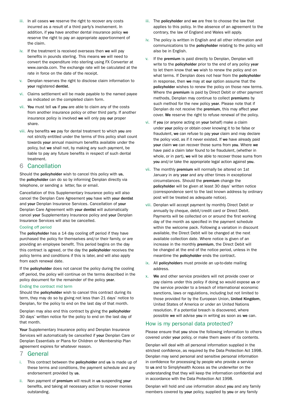- iii. In all cases we reserve the right to recover any costs incurred as a result of a third party's involvement. In addition, if you have another dental insurance policy we reserve the right to pay an appropriate apportionment of the claim.
- iv. If the treatment is received overseas then we will pay benefits in pounds sterling. This means we will need to convert the expenditure into sterling using FX Converter at www.oanda.com. The exchange rate will be calculated at the rate in force on the date of the receipt.
- v. Denplan reserves the right to disclose claim information to your registered dentist.
- vi. Claims settlement will be made payable to the named payee as indicated on the completed claim form.
- vii. You must tell us if you are able to claim any of the costs from another insurance policy or other third party. If another insurance policy is involved we will only pay our proper share.
- viii. Any benefits we pay for dental treatment to which you are not strictly entitled under the terms of this policy shall count towards your annual maximum benefits available under the policy, but we shall not, by making any such payment, be liable to pay any future benefits in respect of such dental treatment.

# 6 Cancellation

Should the policyholder wish to cancel this policy with us, the policyholder can do so by informing Denplan directly via telephone, or sending a letter, fax or email.

Cancellation of this Supplementary Insurance policy will also cancel the Denplan Care Agreement you have with your dentist and your Denplan Insurance Services. Cancellation of your Denplan Care Agreement with your dentist will automatically cancel your Supplementary Insurance policy and your Denplan Insurance Services will also be cancelled.

#### Cooling off period

The policyholder has a 14 day cooling off period if they have purchased the policy for themselves and/or their family, or are providing an employee benefit. This period begins on the day this contract is agreed, or the day the policyholder receives the policy terms and conditions if this is later, and will also apply from each renewal date.

If the policyholder does not cancel the policy during the cooling off period, the policy will continue on the terms described in the policy document for the remainder of the policy year.

#### Ending the contract mid term

Should the policyholder wish to cancel this contract during its term, they may do so by giving not less than 21 days' notice to Denplan, for the policy to end on the last day of that month.

Denplan may also end this contract by giving the policyholder 30 days' written notice for the policy to end on the last day of that month.

Your Supplementary Insurance policy and Denplan Insurance Services will automatically be cancelled if your Denplan Care or Denplan Essentials or Plans for Children or Membership Plan agreement expires for whatever reason.

#### 7 General

- i. This contract between the policyholder and us is made up of these terms and conditions, the payment schedule and any endorsement provided by us.
- ii. Non payment of premium will result in us suspending your benefits, and taking all necessary action to recover monies outstanding.
- iii. The policyholder and we are free to choose the law that applies to this policy. In the absence of an agreement to the contrary, the law of England and Wales will apply.
- iv. The policy is written in English and all other information and communications to the policyholder relating to the policy will also be in English.
- v. If the premium is paid directly to Denplan, Denplan will write to the **policyholder** prior to the end of any policy year to let them know that we wish to renew the policy and on what terms. If Denplan does not hear from the policyholder in response, then we may at our option assume that the policyholder wishes to renew the policy on those new terms. Where the premium is paid by Direct Debit or other payment methods, Denplan may continue to collect premiums by such method for the new policy year. Please note that if Denplan do not receive the premium, this may affect your cover. We reserve the right to refuse renewal of the policy.
- vi. If you (or anyone acting on your behalf) make a claim under your policy or obtain cover knowing it to be false or fraudulent, we can refuse to pay your claim and may declare the policy void, as if it never existed. If we have already paid your claim we can recover those sums from you. Where we have paid a claim later found to be fraudulent, (whether in whole, or in part), we will be able to recover those sums from you and/or take the appropriate legal action against you.
- vii. The monthly premium will normally be altered on 1st January in any year and any other times in exceptional circumstances. Should the premium change the policyholder will be given at least 30 days' written notice (correspondence sent to the last known address by ordinary post will be treated as adequate notice).
- viii. Denplan will accept payment by monthly Direct Debit or annually by cheque, debit/credit card or Direct Debit. Payments will be collected on or around the first working day of the month as specified in the payment schedule within the welcome pack. Following a variation in discount available, the Direct Debit will be changed at the next available collection date. Where notice is given of an increase in the monthly premium, the Direct Debit will be changed at the end of the notice period, unless in the meantime the policyholder ends the contract.
- ix. All policyholders must provide an up-to-date mailing address.
- x. We and other service providers will not provide cover or pay claims under this policy if doing so would expose us or the service provider to a breach of international economic sanctions, laws or regulations, including but not limited to those provided for by the European Union, United Kingdom, United States of America or under an United Nations resolution. If a potential breach is discovered, where possible we will advise you in writing as soon as we can.

# How is my personal data protected?

Please ensure that you show the following information to others covered under your policy, or make them aware of its contents.

Denplan will deal with all personal information supplied in the strictest confidence, as required by the Data Protection Act 1998. Denplan may send personal and sensitive personal information in confidence for processing by people who provide a service to us and to Simplyhealth Access as the underwriter on the understanding that they will keep the information confidential and in accordance with the Data Protection Act 1998.

Denplan will hold and use information about you and any family members covered by your policy, supplied by you or any family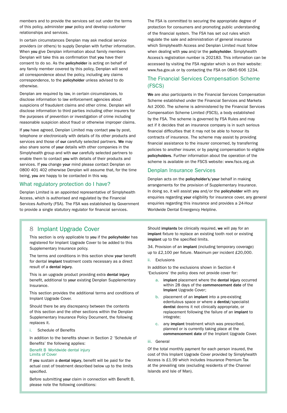members and to provide the services set out under the terms of this policy, administer your policy and develop customer relationships and services.

In certain circumstances Denplan may ask medical service providers (or others) to supply Denplan with further information. When you give Denplan information about family members Denplan will take this as confirmation that you have their consent to do so. As the policyholder is acting on behalf of any family member covered by this policy, Denplan will send all correspondence about the policy, including any claims correspondence, to the policyholder unless advised to do otherwise.

Denplan are required by law, in certain circumstances, to disclose information to law enforcement agencies about suspicions of fraudulent claims and other crime. Denplan will disclose information to third parties including other insurers for the purposes of prevention or investigation of crime including reasonable suspicion about fraud or otherwise improper claims.

If you have agreed, Denplan Limited may contact you by post, telephone or electronically with details of its other products and services and those of our carefully selected partners. We may also share some of your details with other companies in the Simplyhealth group and with our carefully selected partners to enable them to contact you with details of their products and services. If you change your mind please contact Denplan on 0800 401 402 otherwise Denplan will assume that, for the time being, you are happy to be contacted in this way.

# What regulatory protection do I have?

Denplan Limited is an appointed representative of Simplyhealth Access, which is authorised and regulated by the Financial Services Authority (FSA). The FSA was established by Government to provide a single statutory regulator for financial services.

The FSA is committed to securing the appropriate degree of protection for consumers and promoting public understanding of the financial system. The FSA has set out rules which regulate the sale and administration of general insurance which Simplyhealth Access and Denplan Limited must follow when dealing with you and/or the policyholder. Simplyhealth Access's registration number is 202183. This information can be accessed by visiting the FSA register which is on their website: www.fsa.gov.uk or by contacting the FSA on 0845 606 1234.

# The Financial Services Compensation Scheme (FSCS)

We are also participants in the Financial Services Compensation Scheme established under the Financial Services and Markets Act 2000. The scheme is administered by the Financial Services Compensation Scheme Limited (FSCS), a body established by the FSA. The scheme is governed by FSA Rules and may act if it decides that an insurance company is in such serious financial difficulties that it may not be able to honour its contracts of insurance. The scheme may assist by providing financial assistance to the insurer concerned, by transferring policies to another insurer, or by paying compensation to eligible policyholders. Further information about the operation of the scheme is available on the FSCS website: www.fscs.org.uk

# Denplan Insurance Services

Denplan acts on the policyholder's/your behalf in making arrangements for the provision of Supplementary Insurance. In doing so, it will assist you and/or the policyholder with any enquiries regarding your eligibility for insurance cover, any general enquiries regarding this insurance and provides a 24-Hour Worldwide Dental Emergency Helpline.

# 8 Implant Upgrade Cover

This section is only applicable to you if the policyholder has registered for Implant Upgrade Cover to be added to this Supplementary Insurance policy.

The terms and conditions in this section show your benefit for dental implant treatment costs necessary as a direct result of a dental injury.

This is an upgrade product providing extra dental injury benefit, additional to your existing Denplan Supplementary Insurance.

This section provides the additional terms and conditions of Implant Upgrade Cover.

Should there be any discrepancy between the contents of this section and the other sections within the Denplan Supplementary Insurance Policy Document, the following replaces it.

#### Schedule of Benefits

In addition to the benefits shown in Section 2 'Schedule of Benefits' the following applies:

#### Benefit B Worldwide dental injury Limits of Cover

If you sustain a dental injury, benefit will be paid for the actual cost of treatment described below up to the limits specified.

Before submitting your claim in connection with Benefit B, please note the following conditions:

Should implants be clinically required, we will pay for an implant fixture to replace an existing tooth root or existing implant up to the specified limits.

34. Provision of an implant (including temporary coverage) up to £2,100 per fixture. Maximum per incident £20,000.

ii. Exclusions

In addition to the exclusions shown in Section 4 'Exclusions' the policy does not provide cover for:

- a. implant placement where the dental injury occurred within 28 days of the commencement date of the Implant Upgrade Cover;
- b. placement of an implant into a pre-existing edentulous space or where a dentist/specialist dentist deems it not clinically appropriate, or replacement following the failure of an implant to integrate;
- c. any implant treatment which was prescribed, planned or is currently taking place at the commencement date of the Implant Upgrade Cover.
- iii. General

Of the total monthly payment for each person insured, the cost of this Implant Upgrade Cover provided by Simplyhealth Access is £1.99 which includes Insurance Premium Tax at the prevailing rate (excluding residents of the Channel Islands and Isle of Man).